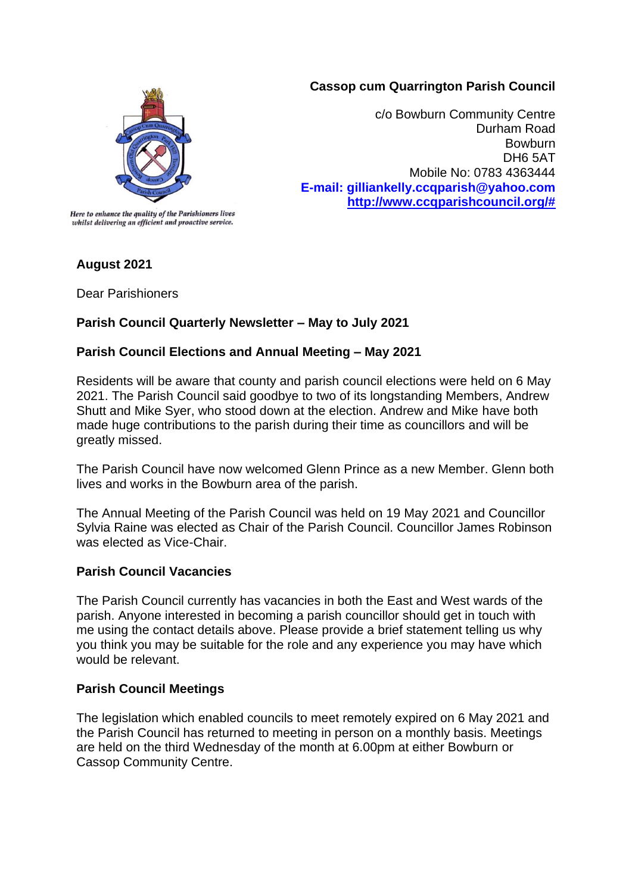## **Cassop cum Quarrington Parish Council**



c/o Bowburn Community Centre Durham Road **Bowburn** DH6 5AT Mobile No: 0783 4363444 **E-mail: gilliankelly.ccqparish@yahoo.com [http://www.ccqparishcouncil.org/#](http://www.ccqparishcouncil.org/)**

Here to enhance the quality of the Parishioners lives whilst delivering an efficient and proactive service.

# **August 2021**

Dear Parishioners

# **Parish Council Quarterly Newsletter – May to July 2021**

### **Parish Council Elections and Annual Meeting – May 2021**

Residents will be aware that county and parish council elections were held on 6 May 2021. The Parish Council said goodbye to two of its longstanding Members, Andrew Shutt and Mike Syer, who stood down at the election. Andrew and Mike have both made huge contributions to the parish during their time as councillors and will be greatly missed.

The Parish Council have now welcomed Glenn Prince as a new Member. Glenn both lives and works in the Bowburn area of the parish.

The Annual Meeting of the Parish Council was held on 19 May 2021 and Councillor Sylvia Raine was elected as Chair of the Parish Council. Councillor James Robinson was elected as Vice-Chair

#### **Parish Council Vacancies**

The Parish Council currently has vacancies in both the East and West wards of the parish. Anyone interested in becoming a parish councillor should get in touch with me using the contact details above. Please provide a brief statement telling us why you think you may be suitable for the role and any experience you may have which would be relevant.

#### **Parish Council Meetings**

The legislation which enabled councils to meet remotely expired on 6 May 2021 and the Parish Council has returned to meeting in person on a monthly basis. Meetings are held on the third Wednesday of the month at 6.00pm at either Bowburn or Cassop Community Centre.